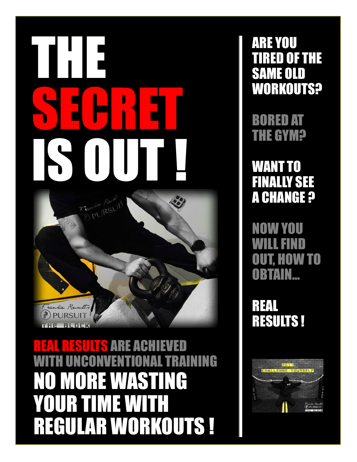# THE SECRET IS OUT !  $\mathbf{e}_i$ matie Reven

hie

Do

REAL RESULTS ARE ACHIEVED ENTIONAL TRAINING **NO MORE WAS A REPORT** YOUR TIME WITH REGULAR WORKOUTS !

ARE YOU TIRED OF THE SAME OLD WORKOUTS?

BORED AT THE GYM?

WANT TO FINALLY SEE **A CHANGE ?** 

NOW YOU WILL FIND OUT, HOW TO OBTAIN…

REAL RESULTS !

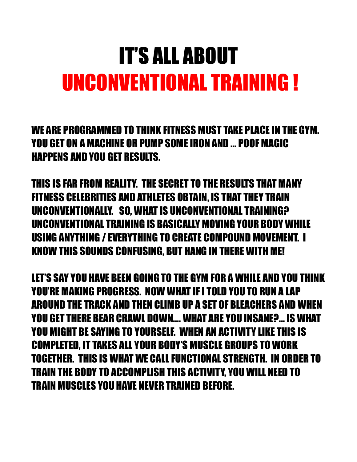## IT'S ALL ABOUT UNCONVENTIONAL TRAINING !

WE ARE PROGRAMMED TO THINK FITNESS MUST TAKE PLACE IN THE GYM. YOU GET ON A MACHINE OR PUMP SOME IRON AND … POOF MAGIC HAPPENS AND YOU GET RESULTS.

THIS IS FAR FROM REALITY. THE SECRET TO THE RESULTS THAT MANY FITNESS CELEBRITIES AND ATHLETES OBTAIN, IS THAT THEY TRAIN UNCONVENTIONALLY. SO, WHAT IS UNCONVENTIONAL TRAINING? UNCONVENTIONAL TRAINING IS BASICALLY MOVING YOUR BODY WHILE USING ANYTHING / EVERYTHING TO CREATE COMPOUND MOVEMENT. I KNOW THIS SOUNDS CONFUSING, BUT HANG IN THERE WITH ME!

LET'S SAY YOU HAVE BEEN GOING TO THE GYM FOR A WHILE AND YOU THINK YOU'RE MAKING PROGRESS. NOW WHAT IF I TOLD YOU TO RUN A LAP AROUND THE TRACK AND THEN CLIMB UP A SET OF BLEACHERS AND WHEN YOU GET THERE BEAR CRAWL DOWN…. WHAT ARE YOU INSANE?... IS WHAT YOU MIGHT BE SAYING TO YOURSELF. WHEN AN ACTIVITY LIKE THIS IS COMPLETED, IT TAKES ALL YOUR BODY'S MUSCLE GROUPS TO WORK TOGETHER. THIS IS WHAT WE CALLFUNCTIONAL STRENGTH. IN ORDER TO TRAIN THE BODY TO ACCOMPLISH THIS ACTIVITY, YOU WILL NEED TO TRAIN MUSCLES YOU HAVE NEVER TRAINED BEFORE.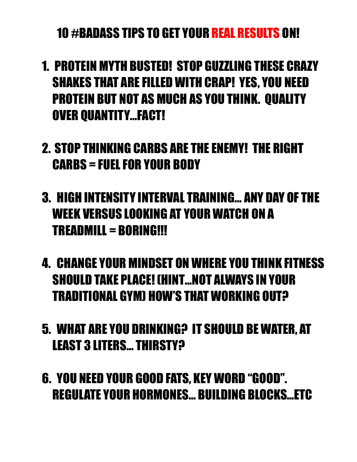#### 10 #BADASS TIPS TO GET YOUR REAL RESULTS ON!

- 1. PROTEIN MYTH BUSTED! STOP GUZZLING THESE CRAZY SHAKES THAT ARE FILLED WITH CRAP! YES, YOU NEED PROTEIN BUT NOT AS MUCH AS YOU THINK. QUALITY OVER QUANTITY…FACT!
- 2. STOP THINKING CARBS ARE THE ENEMY! THE RIGHT CARBS = FUEL FOR YOUR BODY
- 3. HIGH INTENSITY INTERVAL TRAINING… ANY DAY OF THE WEEK VERSUS LOOKING AT YOUR WATCH ON A TREADMILL = BORING!!!
- 4. CHANGE YOUR MINDSET ON WHERE YOU THINK FITNESS SHOULD TAKE PLACE! (HINT…NOT ALWAYS IN YOUR TRADITIONAL GYM) HOW'S THAT WORKING OUT?
- 5. WHAT ARE YOU DRINKING? IT SHOULD BE WATER, AT LEAST 3 LITERS… THIRSTY?
- 6. YOU NEED YOUR GOOD FATS, KEY WORD "GOOD". REGULATE YOUR HORMONES… BUILDING BLOCKS…ETC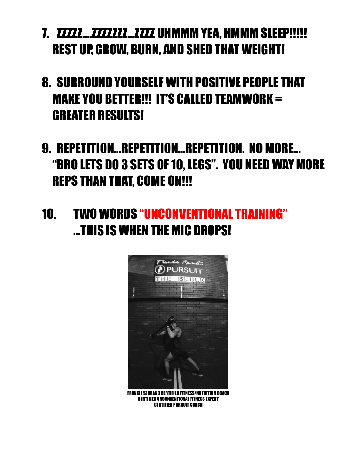- 7. ZZZZZ....ZZZZZZZZZ...ZZZZ UHMMM YEA, HMMM SLEEP!!!!! REST UP, GROW, BURN, AND SHED THAT WEIGHT!
- 8. SURROUND YOURSELF WITH POSITIVE PEOPLE THAT MAKE YOU BETTER!!! IT'S CALLED TEAMWORK = GREATER RESULTS!
- 9. REPETITION…REPETITION…REPETITION. NO MORE… "BRO LETS DO 3 SETS OF 10, LEGS". YOU NEED WAY MORE REPS THAN THAT, COME ON!!!
- 10. TWO WORDS "UNCONVENTIONAL TRAINING" …THIS IS WHEN THE MIC DROPS!



FRANKIE SERRANO CERTIFIED FITNESS/NUTRITION COACH CERTIFIED UNCONVENTIONAL FITNESS EXPERT CERTIFIED PURSUIT COACH